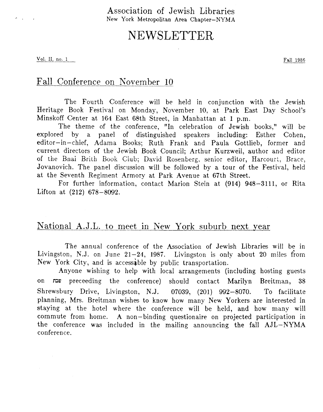Association of Jewish Libraries **New** York Metropolitan **Area Chapter-NYMA** 

# NEWSLETTER

Vol. II, no. 1 Fall 1986

 $\sigma_{\rm{max}}=1.5$ 

# Fall Conference on Kovember 10

The Fourth Conference will be held in conjunction with the Jewish Heritage Book Festival on Monday, November 10, at Park East Day School's Minskoff Center at **164** East 68th Street, in Manhattan at 1 p.m.

The theme of the conference, "In celebration of Jewish books," will be explored by a panel of distinguished speakers including: Esther Cohen, editor-in-chief, Adama Books; Ruth Frank and Paula Gottlieb, former and current directors of the Jewish Book Council; Arthur Kurzweil, author and editor of the Bnai Brith Book Club; David Rosenberg, senior editor, Harcourt, Brace, Jovanovich. The panel discussion will be followed by a tour of the Festival, held at the Seventh Regiment Armory at Park Avenue at 67th Street.

For further information, contact Marion Stein at **(914) 948-3111,** or Rita Lifton at **(212)** 678-8092.

## National A.J.L. to meet in Kew York suburb next year

The annual conference of the Association of Jewish Libraries will be in Livingston, N.J. on June **21-24, 1987.** Livingston is only about 20 miles from New York City, and is accessable by public transportation.

Anyone wishing to help with local arrangements (including hosting guests on **lt3p1** preceeding the conference) should contact Marilyn Breitman, 38 Shrewsbury Drive, Livingston, N.J. **07039,** (201) **992-8070.** To facilitate planning, Mrs. Breitman wishes to know how many New Yorkers are interested in staying at the hotel where the conference will be held, and how many will commute from home. A non-binding questionaire on projected participation in the conference **was** included in the mailing announcing the fall AJL-NYMA conference.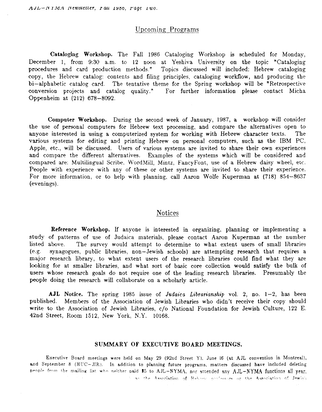## Upcoming Programs

**Cataloging Workshop.** The Fall 1986 Cataloging Workshop is scheduled for Monday, December 1, from *9:30* a.m. to 12 noon at Yeshiva University on the topic "Cataloging procedures and card production methods. " Topics discussed will included: Hebrew cataloging copy, the Hebrew catalog: contents and filing principles, cataloging workflow, and producing the bi-alphabetic catalog card. The tentative theme for the Spring workshop will be "Retrospective conversion projects and catalog quality." For further information please contact Micha Oppenheim at (212) **678-8092.** 

**Computer Workshop.** During the second week of January, 1987, a workshop will consider the use of personal computers for Hebrew text processing, and compare the alternatives open to anyone interested in using a computerized system for working with Hebrew character texts. The various systems for editing and printing Hebrew on personal computers, such **as** the IBM PC, Apple, etc., will be discussed. Users of various systems are invited to share their own experiences and compare the different alternatives. Examples of the systems which will be considered and compared are: Multilingual Scribe, U'ordMill, Mintz, FancyFont, use of a Hebrew daisy wheel, etc. People with experience with any of these or other systems are invited to share their experience. For more information, or to help with planning, call Aaron Wolfe Kuperman at (718) 854-8637 (evenings).

### Notices

**Reference Workshop.** If anyone is interested in organizing, planning or implementing a study of patterns of use of Judaica materials, please contact Aaron Kuperman at the number Listed above. The survey would attempt to determine to what extent **users** of small libraries (e.g. synagogues, public Libraries, non-Jewish schools) are attempting research that requires a major research library, to what extent users of the research libraries could find what they are looking for at smaller libraries, and what sort of basic core collection would satisfy the bulk of **users** whose research goals do not require one of the leading research libraries. Presumably the people doing the research will collaborate on a scholarly article.

**AJL** Notice. The spring 1985 issue of **Judaico** Librarianship **vol. 2,** no. 1-2, has been published. Members of the Association of Jewish Libraries who didn't receive their copy should write to the Association of Jewish Libraries, c/o National Foundation for Jewish Culture, 122 E. 42nd Street, Room 1512, New York, N.Y. 10168.

### **SUMMARY OF EXECUTIVE BOARD MEETINGS.**

Executive Board meetings were held on **May** 29 (92nd Street Y), June 16 (at AJL convention in Montreal), and September 8 (HUC-JIR). In addition to planning future programs, matters discussed have included deleting people from the mailing list who neither paid \$5 to AJL-NYMA, nor attended any AJL-NYMA functions all year,  $\frac{1}{2}$  as the Association of Habyase orginasces or the Association of Jewish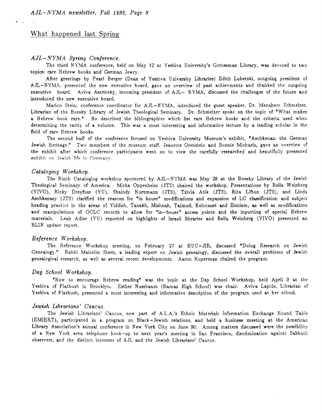## What happened last Spring

=.

#### *A JL- N YM.4* Spring Conference.

The third NYMA conference, held on May 12 at Yeshiva University's Gottesman Library, was devoted to two topics: rare Hebrew books and German Jewry.

After greetings by Pearl Berger (Dean of Yeshiva University Libraries) Edith Lubetski, outgoing president of AJL-NYhlA, presented the new executive board, gave an overview of past achievments and thanked the outgoing executive board. Aviva Astrinsky, incoming president of AJL- NYMA, discussed the challenges of the future and introduced the new executive board.

Marion Stein, conference coordinator for AJL-NYMA, introduced the guest speaker, Dr. Menahem Schmelzer, Librarian of the Boesky Library of Jewish Theological Seminary. Dr. Schmelzer spoke on the topic of "What makes a Hebrew book rare." He described the bibliographies which list rare Hebrew books and the criteria used when determining the rarity of a volume. This was a most interesting and informative lecture by a leading scholar in the field of rare Hebrew books.

The second half of the conference focused on Yeshiva University Museum's exhibit, "Aschkenaz: the German Jewish Heritage." Two members of the museum staff, Jeanette Orenstein and Bonnie Michaels, gave an overview of the exhibit after which conference participants went on to view the carefully researched and beautifully presented exhibit on Jewish life in Germany.

#### Cataloging *Workshop.*

The Ninth Cataloging workshop sponsored by AJL-NYMA was May 28 at the Boesky Library of the Jewish Theological Seminary of America. Micha Oppenheim (JTS) chaired the workshop. Presentations by Bella Weinberg (YIVO), Ricky Dreyfuss (YU), Shaindy Kurzmann (JTS), Tzivia Atik (JTS), Rita Lifton (JTS), and Linda Aschkenasy (JTS) clarified the reasons for "in house" modifications and expansion of LC classification and subject heading practice in the areas of Yiddish, Tanakh, Mishnah, Talmud, Holocaust and Zionism, as well as modifications and manipulations of OCLC records to allow for "in-house" access points and the inputting of special Hebrew materials. Leah Adler (YU) reported on highlights of Israeli libraries and Bella Weinberg (YIVO) presented an RLIN update report.

#### Reference Workshop.

Genealogy." Rabbi Malcolm Stern, a leading expert on Jewish genealogy, discussed the overall problems of Jewish genealogical research, **as** well *85* several recent developments. Aaron Kuperman chaired the program. The Reference Workshop meeting, on February 27 at HUC-JIR, discussed "Doing Research on Jewish

#### Day *School Worksh* op.

"How to encourage Hebrew reading" was the topic at the Day School Workshop, held April 3 at the Yeshiva of Flatbush in Brooklyn. Esther Nussbaum (Ramaz High School) was chair. Aviva Lapide, Librarian of Yeshiva of Flatbush, presented a most interesting and informative description of the program used **at** her school.

#### *Jewish* Librarians' Caucus.

The Jewish Librarians' Caucus, now part of A.L.A.'s Ethnic Materials Information Exchange Round Table (EMIERT), participated in a program on Black-Jewish relations, and held a business meeting at the American Library Association's annual conference in New York City on June 30. Among matters discussed were the possibility of a New York area telephone hook-up to next year's meeting in San Francisco, discrimination against Sabbath observers, and the distinct interests of AJL and the Jewish Librarians' Caucus.